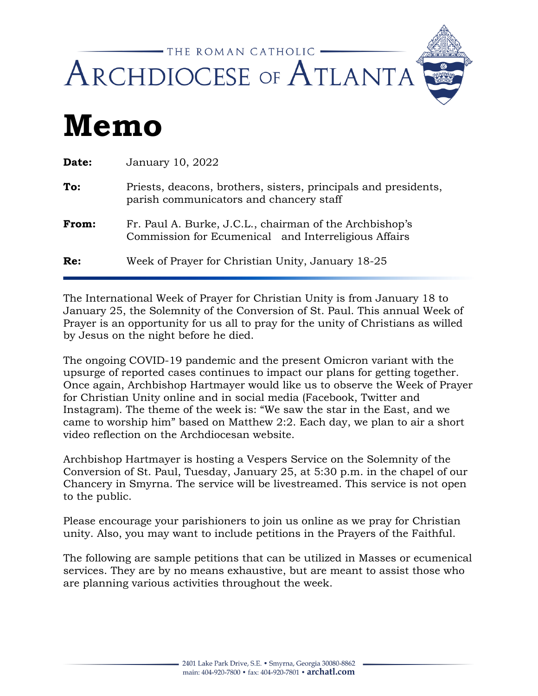

## **Memo**

| Date: | January 10, 2022                                                                                                |
|-------|-----------------------------------------------------------------------------------------------------------------|
| To:   | Priests, deacons, brothers, sisters, principals and presidents,<br>parish communicators and chancery staff      |
| From: | Fr. Paul A. Burke, J.C.L., chairman of the Archbishop's<br>Commission for Ecumenical and Interreligious Affairs |
| Re:   | Week of Prayer for Christian Unity, January 18-25                                                               |

The International Week of Prayer for Christian Unity is from January 18 to January 25, the Solemnity of the Conversion of St. Paul. This annual Week of Prayer is an opportunity for us all to pray for the unity of Christians as willed by Jesus on the night before he died.

The ongoing COVID-19 pandemic and the present Omicron variant with the upsurge of reported cases continues to impact our plans for getting together. Once again, Archbishop Hartmayer would like us to observe the Week of Prayer for Christian Unity online and in social media (Facebook, Twitter and Instagram). The theme of the week is: "We saw the star in the East, and we came to worship him" based on Matthew 2:2. Each day, we plan to air a short video reflection on the Archdiocesan website.

Archbishop Hartmayer is hosting a Vespers Service on the Solemnity of the Conversion of St. Paul, Tuesday, January 25, at 5:30 p.m. in the chapel of our Chancery in Smyrna. The service will be livestreamed. This service is not open to the public.

Please encourage your parishioners to join us online as we pray for Christian unity. Also, you may want to include petitions in the Prayers of the Faithful.

The following are sample petitions that can be utilized in Masses or ecumenical services. They are by no means exhaustive, but are meant to assist those who are planning various activities throughout the week.